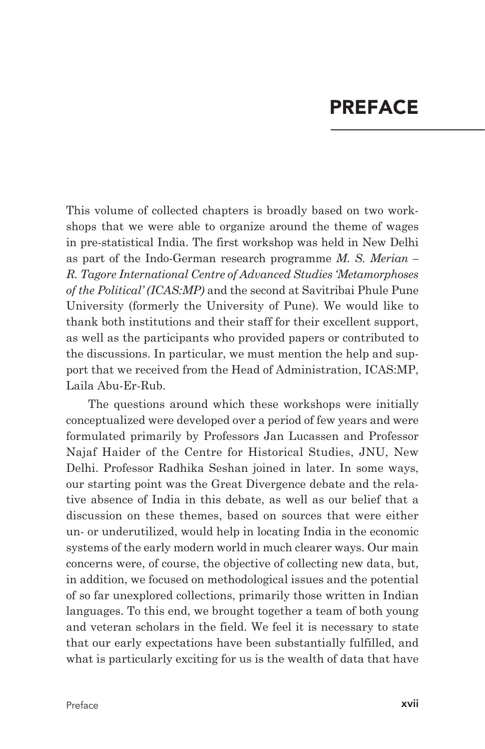## **PREFACE**

This volume of collected chapters is broadly based on two workshops that we were able to organize around the theme of wages in pre-statistical India. The first workshop was held in New Delhi as part of the Indo-German research programme *M. S. Merian – R. Tagore International Centre of Advanced Studies 'Metamorphoses of the Political' (ICAS:MP)* and the second at Savitribai Phule Pune University (formerly the University of Pune). We would like to thank both institutions and their staff for their excellent support, as well as the participants who provided papers or contributed to the discussions. In particular, we must mention the help and support that we received from the Head of Administration, ICAS:MP, Laila Abu-Er-Rub.

The questions around which these workshops were initially conceptualized were developed over a period of few years and were formulated primarily by Professors Jan Lucassen and Professor Najaf Haider of the Centre for Historical Studies, JNU, New Delhi. Professor Radhika Seshan joined in later. In some ways, our starting point was the Great Divergence debate and the relative absence of India in this debate, as well as our belief that a discussion on these themes, based on sources that were either un- or underutilized, would help in locating India in the economic systems of the early modern world in much clearer ways. Our main concerns were, of course, the objective of collecting new data, but, in addition, we focused on methodological issues and the potential of so far unexplored collections, primarily those written in Indian languages. To this end, we brought together a team of both young and veteran scholars in the field. We feel it is necessary to state that our early expectations have been substantially fulfilled, and what is particularly exciting for us is the wealth of data that have